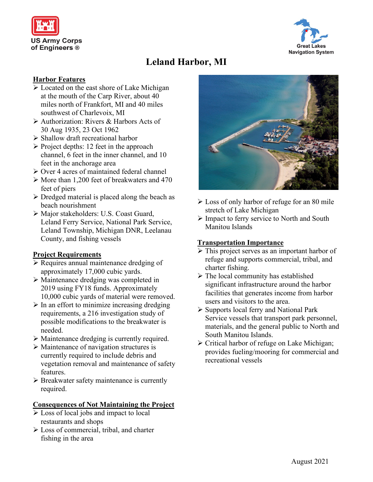



# **Leland Harbor, MI**

### **Harbor Features**

- $\triangleright$  Located on the east shore of Lake Michigan at the mouth of the Carp River, about 40 miles north of Frankfort, MI and 40 miles southwest of Charlevoix, MI
- Authorization: Rivers & Harbors Acts of 30 Aug 1935, 23 Oct 1962
- $\triangleright$  Shallow draft recreational harbor
- $\triangleright$  Project depths: 12 feet in the approach channel, 6 feet in the inner channel, and 10 feet in the anchorage area
- $\triangleright$  Over 4 acres of maintained federal channel
- $\triangleright$  More than 1,200 feet of breakwaters and 470 feet of piers
- $\triangleright$  Dredged material is placed along the beach as beach nourishment
- Major stakeholders: U.S. Coast Guard, Leland Ferry Service, National Park Service, Leland Township, Michigan DNR, Leelanau County, and fishing vessels

# **Project Requirements**

- $\triangleright$  Requires annual maintenance dredging of approximately 17,000 cubic yards.
- Maintenance dredging was completed in 2019 using FY18 funds. Approximately 10,000 cubic yards of material were removed.
- $\triangleright$  In an effort to minimize increasing dredging requirements, a 216 investigation study of possible modifications to the breakwater is needed.
- Maintenance dredging is currently required.
- $\triangleright$  Maintenance of navigation structures is currently required to include debris and vegetation removal and maintenance of safety features.
- Breakwater safety maintenance is currently required.

#### **Consequences of Not Maintaining the Project**

- Loss of local jobs and impact to local restaurants and shops
- Loss of commercial, tribal, and charter fishing in the area



- $\triangleright$  Loss of only harbor of refuge for an 80 mile stretch of Lake Michigan
- $\triangleright$  Impact to ferry service to North and South Manitou Islands

## **Transportation Importance**

- > This project serves as an important harbor of refuge and supports commercial, tribal, and charter fishing.
- $\triangleright$  The local community has established significant infrastructure around the harbor facilities that generates income from harbor users and visitors to the area.
- $\triangleright$  Supports local ferry and National Park Service vessels that transport park personnel, materials, and the general public to North and South Manitou Islands.
- $\triangleright$  Critical harbor of refuge on Lake Michigan; provides fueling/mooring for commercial and recreational vessels